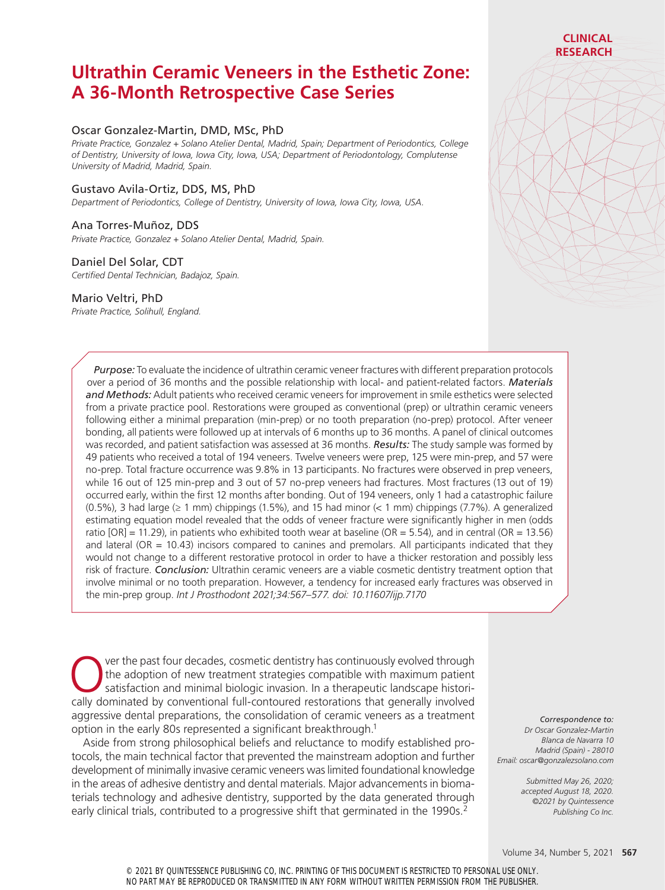# **Ultrathin Ceramic Veneers in the Esthetic Zone: A 36-Month Retrospective Case Series**

### Oscar Gonzalez-Martin, DMD, MSc, PhD

*Private Practice, Gonzalez + Solano Atelier Dental, Madrid, Spain; Department of Periodontics, College of Dentistry, University of Iowa, Iowa City, Iowa, USA; Department of Periodontology, Complutense University of Madrid, Madrid, Spain.*

### Gustavo Avila-Ortiz, DDS, MS, PhD

*Department of Periodontics, College of Dentistry, University of Iowa, Iowa City, Iowa, USA.*

#### Ana Torres-Muñoz, DDS

*Private Practice, Gonzalez + Solano Atelier Dental, Madrid, Spain.*

#### Daniel Del Solar, CDT

*Certified Dental Technician, Badajoz, Spain.*

#### Mario Veltri, PhD

*Private Practice, Solihull, England.*

*Purpose:* To evaluate the incidence of ultrathin ceramic veneer fractures with different preparation protocols over a period of 36 months and the possible relationship with local- and patient-related factors. *Materials and Methods:* Adult patients who received ceramic veneers for improvement in smile esthetics were selected from a private practice pool. Restorations were grouped as conventional (prep) or ultrathin ceramic veneers following either a minimal preparation (min-prep) or no tooth preparation (no-prep) protocol. After veneer bonding, all patients were followed up at intervals of 6 months up to 36 months. A panel of clinical outcomes was recorded, and patient satisfaction was assessed at 36 months. *Results:* The study sample was formed by 49 patients who received a total of 194 veneers. Twelve veneers were prep, 125 were min-prep, and 57 were no-prep. Total fracture occurrence was 9.8% in 13 participants. No fractures were observed in prep veneers, while 16 out of 125 min-prep and 3 out of 57 no-prep veneers had fractures. Most fractures (13 out of 19) occurred early, within the first 12 months after bonding. Out of 194 veneers, only 1 had a catastrophic failure (0.5%), 3 had large  $(≥ 1$  mm) chippings (1.5%), and 15 had minor  $(≤ 1$  mm) chippings (7.7%). A generalized estimating equation model revealed that the odds of veneer fracture were significantly higher in men (odds ratio [OR] = 11.29), in patients who exhibited tooth wear at baseline (OR = 5.54), and in central (OR = 13.56) and lateral (OR  $= 10.43$ ) incisors compared to canines and premolars. All participants indicated that they would not change to a different restorative protocol in order to have a thicker restoration and possibly less risk of fracture. *Conclusion:* Ultrathin ceramic veneers are a viable cosmetic dentistry treatment option that involve minimal or no tooth preparation. However, a tendency for increased early fractures was observed in the min-prep group. *Int J Prosthodont 2021;34:567–577. doi: 10.11607/ijp.7170*

ver the past four decades, cosmetic dentistry has continuously evolved through the adoption of new treatment strategies compatible with maximum patient satisfaction and minimal biologic invasion. In a therapeutic landscape historically dominated by conventional full-contoured restorations that generally involved aggressive dental preparations, the consolidation of ceramic veneers as a treatment option in the early 80s represented a significant breakthrough.1

Aside from strong philosophical beliefs and reluctance to modify established protocols, the main technical factor that prevented the mainstream adoption and further development of minimally invasive ceramic veneers was limited foundational knowledge in the areas of adhesive dentistry and dental materials. Major advancements in biomaterials technology and adhesive dentistry, supported by the data generated through early clinical trials, contributed to a progressive shift that germinated in the 1990s.<sup>2</sup>

*Correspondence to: Dr Oscar Gonzalez-Martin Blanca de Navarra 10 Madrid (Spain) - 28010 Email: oscar@gonzalezsolano.com*

**CLINICAL RESEARCH**

*Submitted May 26, 2020; accepted August 18, 2020. ©2021 by Quintessence Publishing Co Inc.*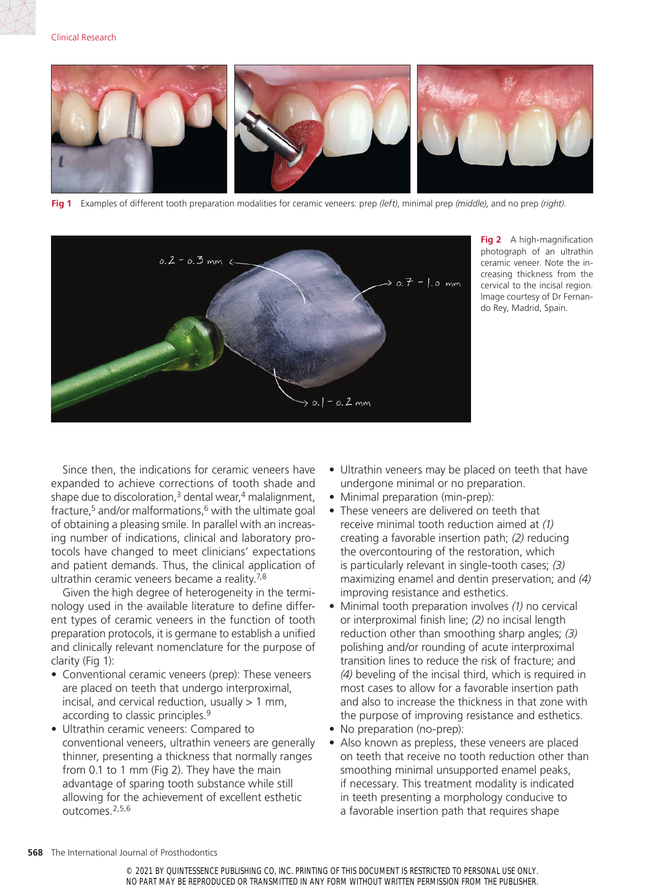

**Fig 1** Examples of different tooth preparation modalities for ceramic veneers: prep *(left)*, minimal prep *(middle)*, and no prep *(right)*.



**Fig 2** A high-magnification photograph of an ultrathin ceramic veneer. Note the increasing thickness from the cervical to the incisal region. Image courtesy of Dr Fernando Rey, Madrid, Spain.

Since then, the indications for ceramic veneers have expanded to achieve corrections of tooth shade and shape due to discoloration, $3$  dental wear, $4$  malalignment, fracture,<sup>5</sup> and/or malformations, $6$  with the ultimate goal of obtaining a pleasing smile. In parallel with an increasing number of indications, clinical and laboratory protocols have changed to meet clinicians' expectations and patient demands. Thus, the clinical application of ultrathin ceramic veneers became a reality. $7,8$ 

Given the high degree of heterogeneity in the terminology used in the available literature to define different types of ceramic veneers in the function of tooth preparation protocols, it is germane to establish a unified and clinically relevant nomenclature for the purpose of clarity (Fig 1):

- Conventional ceramic veneers (prep): These veneers are placed on teeth that undergo interproximal, incisal, and cervical reduction, usually  $> 1$  mm, according to classic principles.<sup>9</sup>
- Ultrathin ceramic veneers: Compared to conventional veneers, ultrathin veneers are generally thinner, presenting a thickness that normally ranges from 0.1 to 1 mm (Fig 2). They have the main advantage of sparing tooth substance while still allowing for the achievement of excellent esthetic outcomes.2,5,6
- Ultrathin veneers may be placed on teeth that have undergone minimal or no preparation.
- Minimal preparation (min-prep):
- These veneers are delivered on teeth that receive minimal tooth reduction aimed at *(1)* creating a favorable insertion path; *(2)* reducing the overcontouring of the restoration, which is particularly relevant in single-tooth cases; *(3)* maximizing enamel and dentin preservation; and *(4)* improving resistance and esthetics.
- Minimal tooth preparation involves *(1)* no cervical or interproximal finish line; *(2)* no incisal length reduction other than smoothing sharp angles; *(3)* polishing and/or rounding of acute interproximal transition lines to reduce the risk of fracture; and *(4)* beveling of the incisal third, which is required in most cases to allow for a favorable insertion path and also to increase the thickness in that zone with the purpose of improving resistance and esthetics.
- No preparation (no-prep):
- Also known as prepless, these veneers are placed on teeth that receive no tooth reduction other than smoothing minimal unsupported enamel peaks, if necessary. This treatment modality is indicated in teeth presenting a morphology conducive to a favorable insertion path that requires shape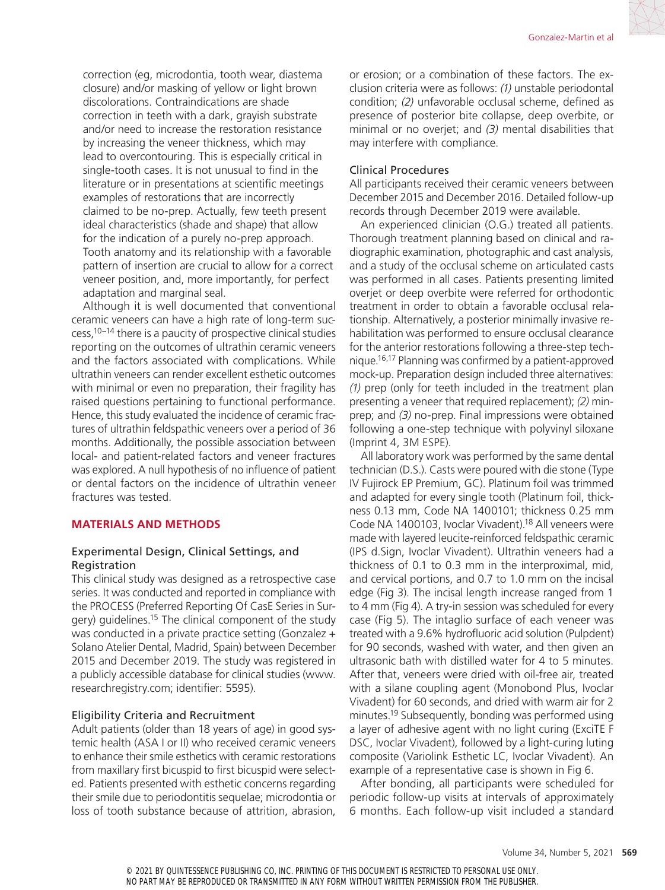correction (eg, microdontia, tooth wear, diastema closure) and/or masking of yellow or light brown discolorations. Contraindications are shade correction in teeth with a dark, grayish substrate and/or need to increase the restoration resistance by increasing the veneer thickness, which may lead to overcontouring. This is especially critical in single-tooth cases. It is not unusual to find in the literature or in presentations at scientific meetings examples of restorations that are incorrectly claimed to be no-prep. Actually, few teeth present ideal characteristics (shade and shape) that allow for the indication of a purely no-prep approach. Tooth anatomy and its relationship with a favorable pattern of insertion are crucial to allow for a correct veneer position, and, more importantly, for perfect adaptation and marginal seal.

Although it is well documented that conventional ceramic veneers can have a high rate of long-term suc $cess<sub>10-14</sub>$  there is a paucity of prospective clinical studies reporting on the outcomes of ultrathin ceramic veneers and the factors associated with complications. While ultrathin veneers can render excellent esthetic outcomes with minimal or even no preparation, their fragility has raised questions pertaining to functional performance. Hence, this study evaluated the incidence of ceramic fractures of ultrathin feldspathic veneers over a period of 36 months. Additionally, the possible association between local- and patient-related factors and veneer fractures was explored. A null hypothesis of no influence of patient or dental factors on the incidence of ultrathin veneer fractures was tested.

### **MATERIALS AND METHODS**

### Experimental Design, Clinical Settings, and Registration

This clinical study was designed as a retrospective case series. It was conducted and reported in compliance with the PROCESS (Preferred Reporting Of CasE Series in Surgery) guidelines.<sup>15</sup> The clinical component of the study was conducted in a private practice setting (Gonzalez + Solano Atelier Dental, Madrid, Spain) between December 2015 and December 2019. The study was registered in a publicly accessible database for clinical studies (www. researchregistry.com; identifier: 5595).

### Eligibility Criteria and Recruitment

Adult patients (older than 18 years of age) in good systemic health (ASA I or II) who received ceramic veneers to enhance their smile esthetics with ceramic restorations from maxillary first bicuspid to first bicuspid were selected. Patients presented with esthetic concerns regarding their smile due to periodontitis sequelae; microdontia or loss of tooth substance because of attrition, abrasion, or erosion; or a combination of these factors. The exclusion criteria were as follows: *(1)* unstable periodontal condition; *(2)* unfavorable occlusal scheme, defined as presence of posterior bite collapse, deep overbite, or minimal or no overjet; and *(3)* mental disabilities that may interfere with compliance.

### Clinical Procedures

All participants received their ceramic veneers between December 2015 and December 2016. Detailed follow-up records through December 2019 were available.

An experienced clinician (O.G.) treated all patients. Thorough treatment planning based on clinical and radiographic examination, photographic and cast analysis, and a study of the occlusal scheme on articulated casts was performed in all cases. Patients presenting limited overjet or deep overbite were referred for orthodontic treatment in order to obtain a favorable occlusal relationship. Alternatively, a posterior minimally invasive rehabilitation was performed to ensure occlusal clearance for the anterior restorations following a three-step technique.16,17 Planning was confirmed by a patient-approved mock-up. Preparation design included three alternatives: *(1)* prep (only for teeth included in the treatment plan presenting a veneer that required replacement); *(2)* minprep; and *(3)* no-prep. Final impressions were obtained following a one-step technique with polyvinyl siloxane (Imprint 4, 3M ESPE).

All laboratory work was performed by the same dental technician (D.S.). Casts were poured with die stone (Type IV Fujirock EP Premium, GC). Platinum foil was trimmed and adapted for every single tooth (Platinum foil, thickness 0.13 mm, Code NA 1400101; thickness 0.25 mm Code NA 1400103, Ivoclar Vivadent).18 All veneers were made with layered leucite-reinforced feldspathic ceramic (IPS d.Sign, Ivoclar Vivadent). Ultrathin veneers had a thickness of 0.1 to 0.3 mm in the interproximal, mid, and cervical portions, and 0.7 to 1.0 mm on the incisal edge (Fig 3). The incisal length increase ranged from 1 to 4 mm (Fig 4). A try-in session was scheduled for every case (Fig 5). The intaglio surface of each veneer was treated with a 9.6% hydrofluoric acid solution (Pulpdent) for 90 seconds, washed with water, and then given an ultrasonic bath with distilled water for 4 to 5 minutes. After that, veneers were dried with oil-free air, treated with a silane coupling agent (Monobond Plus, Ivoclar Vivadent) for 60 seconds, and dried with warm air for 2 minutes.19 Subsequently, bonding was performed using a layer of adhesive agent with no light curing (ExciTE F DSC, Ivoclar Vivadent), followed by a light-curing luting composite (Variolink Esthetic LC, Ivoclar Vivadent). An example of a representative case is shown in Fig 6.

After bonding, all participants were scheduled for periodic follow-up visits at intervals of approximately 6 months. Each follow-up visit included a standard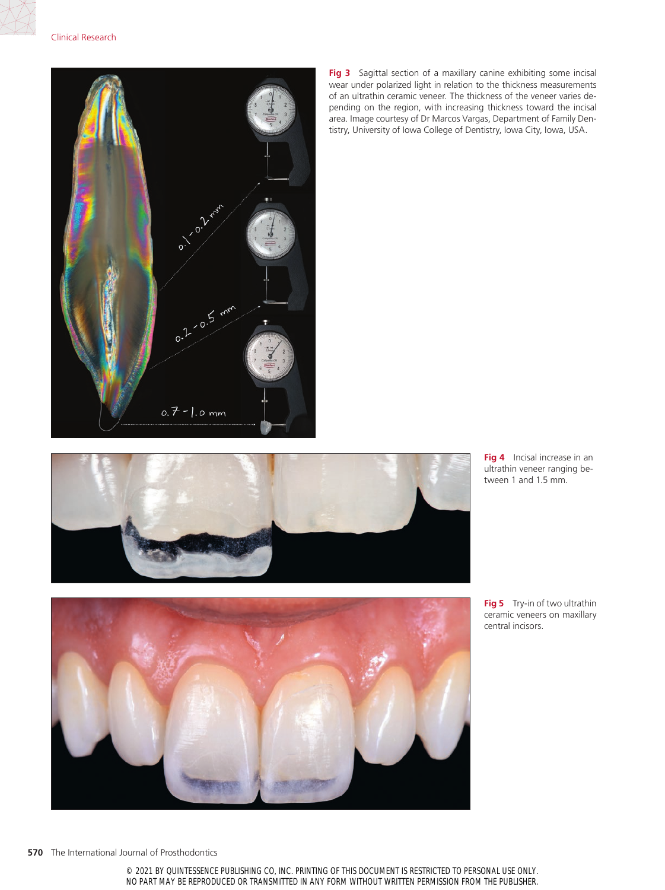

Fig 3 Sagittal section of a maxillary canine exhibiting some incisal wear under polarized light in relation to the thickness measurements of an ultrathin ceramic veneer. The thickness of the veneer varies depending on the region, with increasing thickness toward the incisal area. Image courtesy of Dr Marcos Vargas, Department of Family Dentistry, University of Iowa College of Dentistry, Iowa City, Iowa, USA.



**Fig 4** Incisal increase in an ultrathin veneer ranging between 1 and 1.5 mm.



**Fig 5** Try-in of two ultrathin ceramic veneers on maxillary central incisors.

**570** The International Journal of Prosthodontics

© 2021 BY QUINTESSENCE PUBLISHING CO, INC. PRINTING OF THIS DOCUMENT IS RESTRICTED TO PERSONAL USE ONLY. NO PART MAY BE REPRODUCED OR TRANSMITTED IN ANY FORM WITHOUT WRITTEN PERMISSION FROM THE PUBLISHER.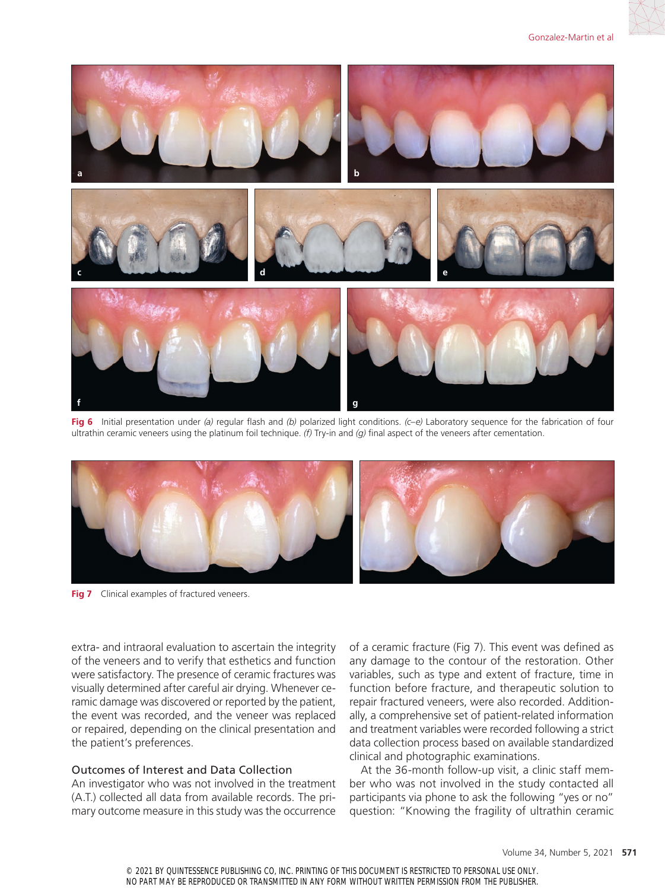

**Fig 6** Initial presentation under *(a)* regular flash and *(b)* polarized light conditions. *(c–e)* Laboratory sequence for the fabrication of four ultrathin ceramic veneers using the platinum foil technique. *(f)* Try-in and *(g)* final aspect of the veneers after cementation.



**Fig 7** Clinical examples of fractured veneers.

extra- and intraoral evaluation to ascertain the integrity of the veneers and to verify that esthetics and function were satisfactory. The presence of ceramic fractures was visually determined after careful air drying. Whenever ceramic damage was discovered or reported by the patient, the event was recorded, and the veneer was replaced or repaired, depending on the clinical presentation and the patient's preferences.

### Outcomes of Interest and Data Collection

An investigator who was not involved in the treatment (A.T.) collected all data from available records. The primary outcome measure in this study was the occurrence

of a ceramic fracture (Fig 7). This event was defined as any damage to the contour of the restoration. Other variables, such as type and extent of fracture, time in function before fracture, and therapeutic solution to repair fractured veneers, were also recorded. Additionally, a comprehensive set of patient-related information and treatment variables were recorded following a strict data collection process based on available standardized clinical and photographic examinations.

At the 36-month follow-up visit, a clinic staff member who was not involved in the study contacted all participants via phone to ask the following "yes or no" question: "Knowing the fragility of ultrathin ceramic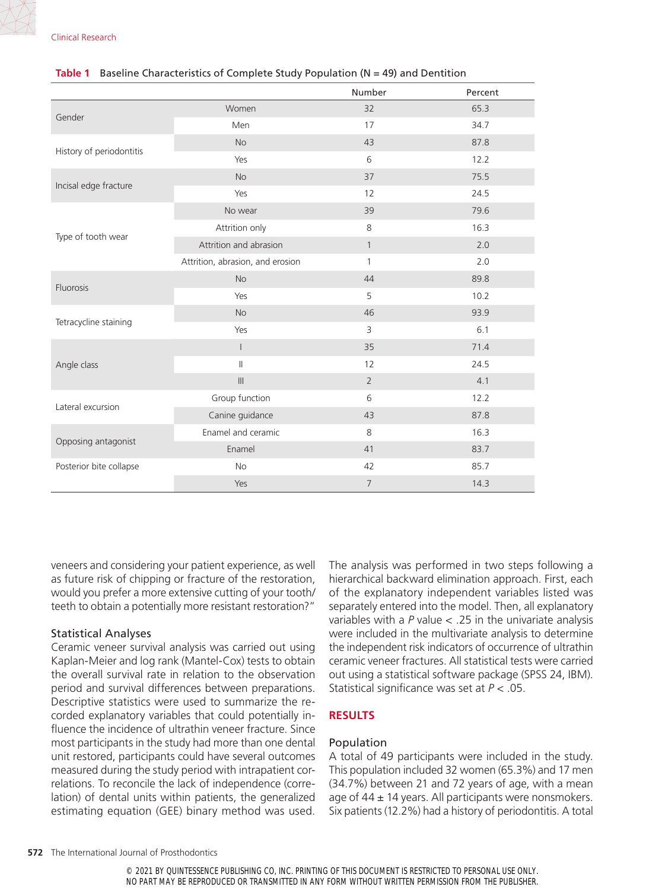Clinical Research

### Number Percent Gender  $W$ omen  $32$  65.3 Men 34.7 History of periodontitis No 43 87.8 Yes 6 12.2 Incisal edge fracture No 37 75.5 Yes 12 24.5 Type of tooth wear No wear 39 39 79.6 Attrition only 16.3 Attrition and abrasion and abrasion and  $1$  2.0 Attrition, abrasion, and erosion 1 1 2.0 Fluorosis No 39.8 Yes 5 10.2 Tetracycline staining No 33.9  $Yes$  3 6.1 Angle class I 35 71.4  $\blacksquare$  12 24.5  $\blacksquare$  2 4.1 Lateral excursion Group function 6 12.2 Canine guidance 43 87.8 Opposing antagonist Enamel and ceramic 8 16.3 Enamel 41 83.7 Posterior bite collapse **No No 12 42** 85.7  $Y$ es 14.3

### **Table 1** Baseline Characteristics of Complete Study Population (N = 49) and Dentition

veneers and considering your patient experience, as well as future risk of chipping or fracture of the restoration, would you prefer a more extensive cutting of your tooth/ teeth to obtain a potentially more resistant restoration?"

## Statistical Analyses

Ceramic veneer survival analysis was carried out using Kaplan-Meier and log rank (Mantel-Cox) tests to obtain the overall survival rate in relation to the observation period and survival differences between preparations. Descriptive statistics were used to summarize the recorded explanatory variables that could potentially influence the incidence of ultrathin veneer fracture. Since most participants in the study had more than one dental unit restored, participants could have several outcomes measured during the study period with intrapatient correlations. To reconcile the lack of independence (correlation) of dental units within patients, the generalized estimating equation (GEE) binary method was used.

The analysis was performed in two steps following a hierarchical backward elimination approach. First, each of the explanatory independent variables listed was separately entered into the model. Then, all explanatory variables with a *P* value < .25 in the univariate analysis were included in the multivariate analysis to determine the independent risk indicators of occurrence of ultrathin ceramic veneer fractures. All statistical tests were carried out using a statistical software package (SPSS 24, IBM). Statistical significance was set at *P* < .05.

## **RESULTS**

### Population

A total of 49 participants were included in the study. This population included 32 women (65.3%) and 17 men (34.7%) between 21 and 72 years of age, with a mean age of  $44 \pm 14$  years. All participants were nonsmokers. Six patients (12.2%) had a history of periodontitis. A total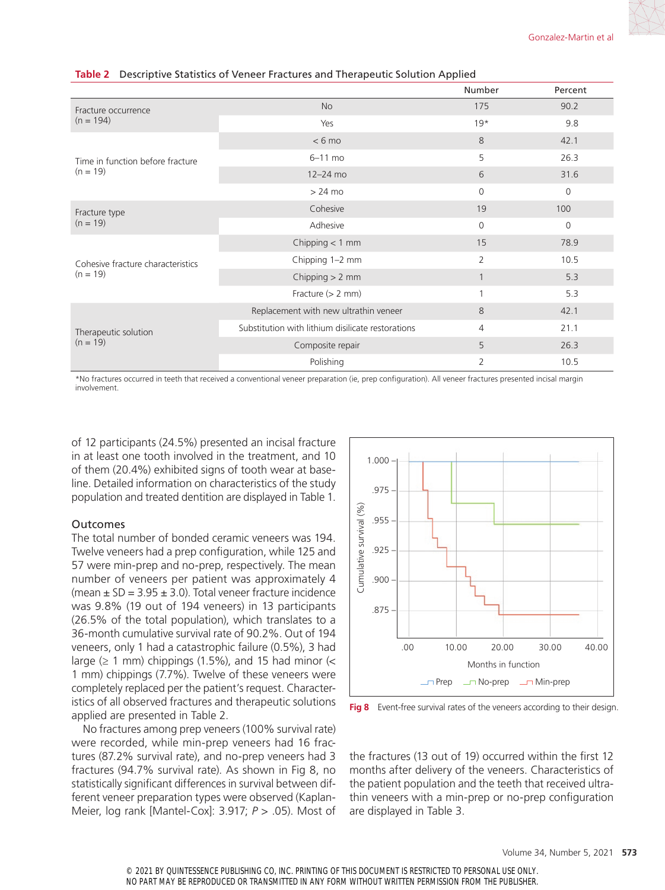|                                    |                                                   | Number         | Percent        |
|------------------------------------|---------------------------------------------------|----------------|----------------|
| Fracture occurrence<br>$(n = 194)$ | <b>No</b>                                         | 175            | 90.2           |
|                                    | Yes                                               | $19*$          | 9.8            |
|                                    | $< 6$ mo                                          | 8              | 42.1           |
| Time in function before fracture   | $6-11$ mo                                         | 5              | 26.3           |
| $(n = 19)$                         | $12 - 24$ mo                                      | 6              | 31.6           |
|                                    | $>24$ mo                                          | $\overline{0}$ | $\mathbf 0$    |
| Fracture type                      | Cohesive                                          | 19             | 100            |
| $(n = 19)$                         | Adhesive                                          | $\Omega$       | $\overline{0}$ |
|                                    | Chipping $<$ 1 mm                                 | 15             | 78.9           |
| Cohesive fracture characteristics  | Chipping 1-2 mm                                   | $\overline{2}$ | 10.5           |
| $(n = 19)$                         | Chipping $> 2$ mm                                 | $\mathbf{1}$   | 5.3            |
|                                    | Fracture $(> 2$ mm)                               | 1              | 5.3            |
|                                    | Replacement with new ultrathin veneer             | 8              | 42.1           |
| Therapeutic solution               | Substitution with lithium disilicate restorations | $\overline{4}$ | 21.1           |
| $(n = 19)$                         | Composite repair                                  | 5              | 26.3           |
|                                    | Polishing                                         | $\overline{2}$ | 10.5           |

#### **Table 2** Descriptive Statistics of Veneer Fractures and Therapeutic Solution Applied

\*No fractures occurred in teeth that received a conventional veneer preparation (ie, prep configuration). All veneer fractures presented incisal margin involvement.

of 12 participants (24.5%) presented an incisal fracture in at least one tooth involved in the treatment, and 10 of them (20.4%) exhibited signs of tooth wear at baseline. Detailed information on characteristics of the study population and treated dentition are displayed in Table 1.

#### Outcomes

The total number of bonded ceramic veneers was 194. Twelve veneers had a prep configuration, while 125 and 57 were min-prep and no-prep, respectively. The mean number of veneers per patient was approximately 4 (mean  $\pm$  SD = 3.95  $\pm$  3.0). Total veneer fracture incidence was 9.8% (19 out of 194 veneers) in 13 participants (26.5% of the total population), which translates to a 36-month cumulative survival rate of 90.2%. Out of 194 veneers, only 1 had a catastrophic failure (0.5%), 3 had large  $(≥ 1$  mm) chippings (1.5%), and 15 had minor  $($ 1 mm) chippings (7.7%). Twelve of these veneers were completely replaced per the patient's request. Characteristics of all observed fractures and therapeutic solutions applied are presented in Table 2.

No fractures among prep veneers (100% survival rate) were recorded, while min-prep veneers had 16 fractures (87.2% survival rate), and no-prep veneers had 3 fractures (94.7% survival rate). As shown in Fig 8, no statistically significant differences in survival between different veneer preparation types were observed (Kaplan-Meier, log rank [Mantel-Cox]: 3.917; *P* > .05). Most of



**Fig 8** Event-free survival rates of the veneers according to their design.

the fractures (13 out of 19) occurred within the first 12 months after delivery of the veneers. Characteristics of the patient population and the teeth that received ultrathin veneers with a min-prep or no-prep configuration are displayed in Table 3.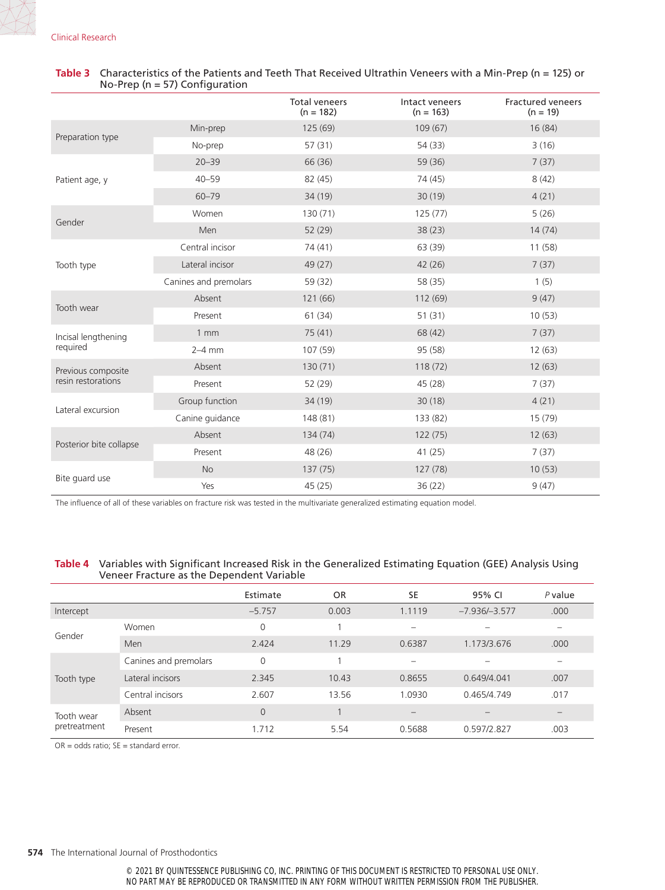|                                          |                       | <b>Total veneers</b><br>$(n = 182)$ | Intact veneers<br>$(n = 163)$ | <b>Fractured veneers</b><br>$(n = 19)$ |
|------------------------------------------|-----------------------|-------------------------------------|-------------------------------|----------------------------------------|
| Preparation type                         | Min-prep              | 125(69)                             | 109(67)                       | 16(84)                                 |
|                                          | No-prep               | 57(31)                              | 54 (33)                       | 3(16)                                  |
| Patient age, y                           | $20 - 39$             | 66 (36)                             | 59 (36)                       | 7(37)                                  |
|                                          | $40 - 59$             | 82 (45)                             | 74 (45)                       | 8(42)                                  |
|                                          | $60 - 79$             | 34 (19)                             | 30(19)                        | 4(21)                                  |
| Gender                                   | Women                 | 130(71)                             | 125(77)                       | 5(26)                                  |
|                                          | Men                   | 52 (29)                             | 38(23)                        | 14(74)                                 |
| Tooth type                               | Central incisor       | 74 (41)                             | 63 (39)                       | 11 (58)                                |
|                                          | Lateral incisor       | 49 (27)                             | 42(26)                        | 7(37)                                  |
|                                          | Canines and premolars | 59 (32)                             | 58 (35)                       | 1(5)                                   |
| Tooth wear                               | Absent                | 121 (66)                            | 112 (69)                      | 9(47)                                  |
|                                          | Present               | 61(34)                              | 51(31)                        | 10(53)                                 |
| Incisal lengthening<br>required          | $1 \text{ mm}$        | 75(41)                              | 68 (42)                       | 7(37)                                  |
|                                          | $2-4$ mm              | 107 (59)                            | 95 (58)                       | 12(63)                                 |
| Previous composite<br>resin restorations | Absent                | 130(71)                             | 118(72)                       | 12(63)                                 |
|                                          | Present               | 52 (29)                             | 45(28)                        | 7(37)                                  |
| Lateral excursion                        | Group function        | 34 (19)                             | 30(18)                        | 4(21)                                  |
|                                          | Canine guidance       | 148 (81)                            | 133 (82)                      | 15(79)                                 |
| Posterior bite collapse                  | Absent                | 134 (74)                            | 122(75)                       | 12(63)                                 |
|                                          | Present               | 48 (26)                             | 41(25)                        | 7(37)                                  |
| Bite quard use                           | <b>No</b>             | 137(75)                             | 127 (78)                      | 10(53)                                 |
|                                          | Yes                   | 45 (25)                             | 36(22)                        | 9(47)                                  |

### **Table 3** Characteristics of the Patients and Teeth That Received Ultrathin Veneers with a Min-Prep (n = 125) or No-Prep (n = 57) Configuration

The influence of all of these variables on fracture risk was tested in the multivariate generalized estimating equation model.

### **Table 4** Variables with Significant Increased Risk in the Generalized Estimating Equation (GEE) Analysis Using Veneer Fracture as the Dependent Variable

|                            |                       | Estimate | <b>OR</b> | SE                | 95% CI          | $P$ value |
|----------------------------|-----------------------|----------|-----------|-------------------|-----------------|-----------|
| Intercept                  |                       | $-5.757$ | 0.003     | 1.1119            | $-7.936/-3.577$ | .000      |
| Gender                     | Women                 | $\Omega$ |           |                   |                 |           |
|                            | Men                   | 2.424    | 11.29     | 0.6387            | 1.173/3.676     | .000      |
| Tooth type                 | Canines and premolars | 0        |           |                   |                 |           |
|                            | Lateral incisors      | 2.345    | 10.43     | 0.8655            | 0.649/4.041     | .007      |
|                            | Central incisors      | 2.607    | 13.56     | 1.0930            | 0.465/4.749     | .017      |
| Tooth wear<br>pretreatment | Absent                | $\Omega$ |           | $\qquad \qquad -$ |                 |           |
|                            | Present               | 1.712    | 5.54      | 0.5688            | 0.597/2.827     | .003      |

 $OR = odds ratio; SE = standard error.$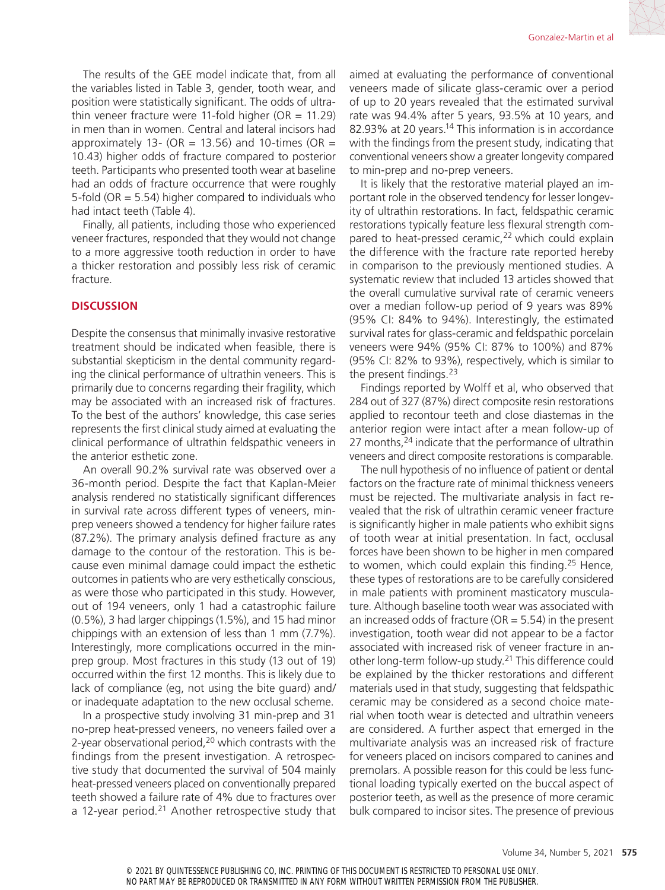The results of the GEE model indicate that, from all the variables listed in Table 3, gender, tooth wear, and position were statistically significant. The odds of ultrathin veneer fracture were 11-fold higher (OR =  $11.29$ ) in men than in women. Central and lateral incisors had approximately 13- (OR = 13.56) and 10-times (OR = 10.43) higher odds of fracture compared to posterior teeth. Participants who presented tooth wear at baseline had an odds of fracture occurrence that were roughly 5-fold ( $OR = 5.54$ ) higher compared to individuals who had intact teeth (Table 4).

Finally, all patients, including those who experienced veneer fractures, responded that they would not change to a more aggressive tooth reduction in order to have a thicker restoration and possibly less risk of ceramic fracture.

### **DISCUSSION**

Despite the consensus that minimally invasive restorative treatment should be indicated when feasible, there is substantial skepticism in the dental community regarding the clinical performance of ultrathin veneers. This is primarily due to concerns regarding their fragility, which may be associated with an increased risk of fractures. To the best of the authors' knowledge, this case series represents the first clinical study aimed at evaluating the clinical performance of ultrathin feldspathic veneers in the anterior esthetic zone.

An overall 90.2% survival rate was observed over a 36-month period. Despite the fact that Kaplan-Meier analysis rendered no statistically significant differences in survival rate across different types of veneers, minprep veneers showed a tendency for higher failure rates (87.2%). The primary analysis defined fracture as any damage to the contour of the restoration. This is because even minimal damage could impact the esthetic outcomes in patients who are very esthetically conscious, as were those who participated in this study. However, out of 194 veneers, only 1 had a catastrophic failure (0.5%), 3 had larger chippings (1.5%), and 15 had minor chippings with an extension of less than 1 mm (7.7%). Interestingly, more complications occurred in the minprep group. Most fractures in this study (13 out of 19) occurred within the first 12 months. This is likely due to lack of compliance (eg, not using the bite guard) and/ or inadequate adaptation to the new occlusal scheme.

In a prospective study involving 31 min-prep and 31 no-prep heat-pressed veneers, no veneers failed over a 2-year observational period,<sup>20</sup> which contrasts with the findings from the present investigation. A retrospective study that documented the survival of 504 mainly heat-pressed veneers placed on conventionally prepared teeth showed a failure rate of 4% due to fractures over a 12-year period. $21$  Another retrospective study that aimed at evaluating the performance of conventional veneers made of silicate glass-ceramic over a period of up to 20 years revealed that the estimated survival rate was 94.4% after 5 years, 93.5% at 10 years, and 82.93% at 20 years.<sup>14</sup> This information is in accordance with the findings from the present study, indicating that conventional veneers show a greater longevity compared to min-prep and no-prep veneers.

It is likely that the restorative material played an important role in the observed tendency for lesser longevity of ultrathin restorations. In fact, feldspathic ceramic restorations typically feature less flexural strength compared to heat-pressed ceramic,<sup>22</sup> which could explain the difference with the fracture rate reported hereby in comparison to the previously mentioned studies. A systematic review that included 13 articles showed that the overall cumulative survival rate of ceramic veneers over a median follow-up period of 9 years was 89% (95% CI: 84% to 94%). Interestingly, the estimated survival rates for glass-ceramic and feldspathic porcelain veneers were 94% (95% CI: 87% to 100%) and 87% (95% CI: 82% to 93%), respectively, which is similar to the present findings.23

Findings reported by Wolff et al, who observed that 284 out of 327 (87%) direct composite resin restorations applied to recontour teeth and close diastemas in the anterior region were intact after a mean follow-up of 27 months,<sup>24</sup> indicate that the performance of ultrathin veneers and direct composite restorations is comparable.

The null hypothesis of no influence of patient or dental factors on the fracture rate of minimal thickness veneers must be rejected. The multivariate analysis in fact revealed that the risk of ultrathin ceramic veneer fracture is significantly higher in male patients who exhibit signs of tooth wear at initial presentation. In fact, occlusal forces have been shown to be higher in men compared to women, which could explain this finding.<sup>25</sup> Hence, these types of restorations are to be carefully considered in male patients with prominent masticatory musculature. Although baseline tooth wear was associated with an increased odds of fracture ( $OR = 5.54$ ) in the present investigation, tooth wear did not appear to be a factor associated with increased risk of veneer fracture in another long-term follow-up study.21 This difference could be explained by the thicker restorations and different materials used in that study, suggesting that feldspathic ceramic may be considered as a second choice material when tooth wear is detected and ultrathin veneers are considered. A further aspect that emerged in the multivariate analysis was an increased risk of fracture for veneers placed on incisors compared to canines and premolars. A possible reason for this could be less functional loading typically exerted on the buccal aspect of posterior teeth, as well as the presence of more ceramic bulk compared to incisor sites. The presence of previous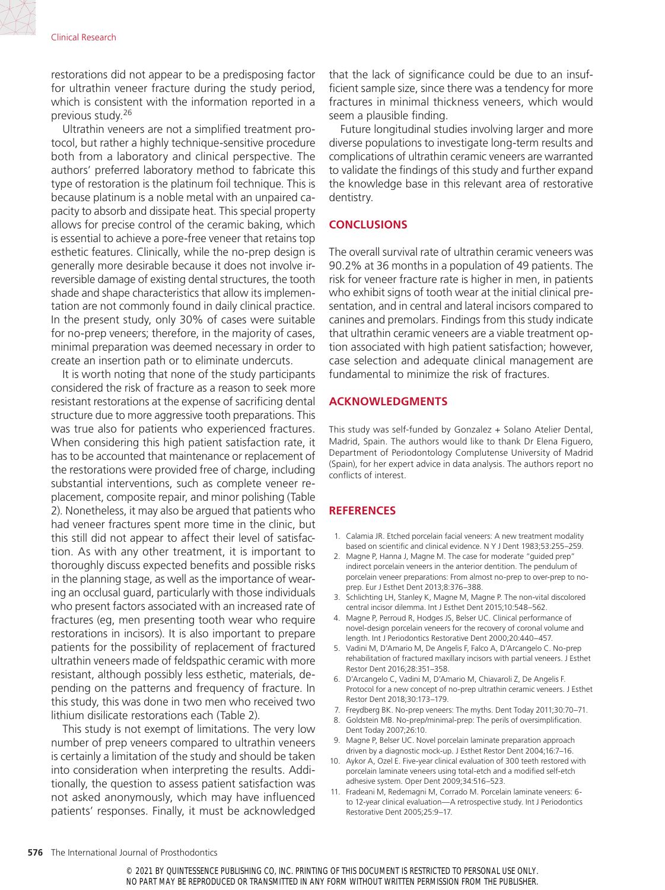restorations did not appear to be a predisposing factor for ultrathin veneer fracture during the study period, which is consistent with the information reported in a previous study.26

Ultrathin veneers are not a simplified treatment protocol, but rather a highly technique-sensitive procedure both from a laboratory and clinical perspective. The authors' preferred laboratory method to fabricate this type of restoration is the platinum foil technique. This is because platinum is a noble metal with an unpaired capacity to absorb and dissipate heat. This special property allows for precise control of the ceramic baking, which is essential to achieve a pore-free veneer that retains top esthetic features. Clinically, while the no-prep design is generally more desirable because it does not involve irreversible damage of existing dental structures, the tooth shade and shape characteristics that allow its implementation are not commonly found in daily clinical practice. In the present study, only 30% of cases were suitable for no-prep veneers; therefore, in the majority of cases, minimal preparation was deemed necessary in order to create an insertion path or to eliminate undercuts.

It is worth noting that none of the study participants considered the risk of fracture as a reason to seek more resistant restorations at the expense of sacrificing dental structure due to more aggressive tooth preparations. This was true also for patients who experienced fractures. When considering this high patient satisfaction rate, it has to be accounted that maintenance or replacement of the restorations were provided free of charge, including substantial interventions, such as complete veneer replacement, composite repair, and minor polishing (Table 2). Nonetheless, it may also be argued that patients who had veneer fractures spent more time in the clinic, but this still did not appear to affect their level of satisfaction. As with any other treatment, it is important to thoroughly discuss expected benefits and possible risks in the planning stage, as well as the importance of wearing an occlusal guard, particularly with those individuals who present factors associated with an increased rate of fractures (eg, men presenting tooth wear who require restorations in incisors). It is also important to prepare patients for the possibility of replacement of fractured ultrathin veneers made of feldspathic ceramic with more resistant, although possibly less esthetic, materials, depending on the patterns and frequency of fracture. In this study, this was done in two men who received two lithium disilicate restorations each (Table 2).

This study is not exempt of limitations. The very low number of prep veneers compared to ultrathin veneers is certainly a limitation of the study and should be taken into consideration when interpreting the results. Additionally, the question to assess patient satisfaction was not asked anonymously, which may have influenced patients' responses. Finally, it must be acknowledged

that the lack of significance could be due to an insufficient sample size, since there was a tendency for more fractures in minimal thickness veneers, which would seem a plausible finding.

Future longitudinal studies involving larger and more diverse populations to investigate long-term results and complications of ultrathin ceramic veneers are warranted to validate the findings of this study and further expand the knowledge base in this relevant area of restorative dentistry.

### **CONCLUSIONS**

The overall survival rate of ultrathin ceramic veneers was 90.2% at 36 months in a population of 49 patients. The risk for veneer fracture rate is higher in men, in patients who exhibit signs of tooth wear at the initial clinical presentation, and in central and lateral incisors compared to canines and premolars. Findings from this study indicate that ultrathin ceramic veneers are a viable treatment option associated with high patient satisfaction; however, case selection and adequate clinical management are fundamental to minimize the risk of fractures.

### **ACKNOWLEDGMENTS**

This study was self-funded by Gonzalez + Solano Atelier Dental, Madrid, Spain. The authors would like to thank Dr Elena Figuero, Department of Periodontology Complutense University of Madrid (Spain), for her expert advice in data analysis. The authors report no conflicts of interest.

### **REFERENCES**

- 1. Calamia JR. Etched porcelain facial veneers: A new treatment modality based on scientific and clinical evidence. N Y J Dent 1983;53:255–259.
- 2. Magne P, Hanna J, Magne M. The case for moderate "guided prep" indirect porcelain veneers in the anterior dentition. The pendulum of porcelain veneer preparations: From almost no-prep to over-prep to noprep. Eur J Esthet Dent 2013;8:376–388.
- 3. Schlichting LH, Stanley K, Magne M, Magne P. The non-vital discolored central incisor dilemma. Int J Esthet Dent 2015;10:548–562.
- 4. Magne P, Perroud R, Hodges JS, Belser UC. Clinical performance of novel-design porcelain veneers for the recovery of coronal volume and length. Int J Periodontics Restorative Dent 2000;20:440–457.
- 5. Vadini M, D'Amario M, De Angelis F, Falco A, D'Arcangelo C. No-prep rehabilitation of fractured maxillary incisors with partial veneers. J Esthet Restor Dent 2016;28:351–358.
- 6. D'Arcangelo C, Vadini M, D'Amario M, Chiavaroli Z, De Angelis F. Protocol for a new concept of no-prep ultrathin ceramic veneers. J Esthet Restor Dent 2018;30:173–179.
- 7. Freydberg BK. No-prep veneers: The myths. Dent Today 2011;30:70–71.
- 8. Goldstein MB. No-prep/minimal-prep: The perils of oversimplification. Dent Today 2007;26:10.
- 9. Magne P, Belser UC. Novel porcelain laminate preparation approach driven by a diagnostic mock-up. J Esthet Restor Dent 2004;16:7–16.
- 10. Aykor A, Ozel E. Five-year clinical evaluation of 300 teeth restored with porcelain laminate veneers using total-etch and a modified self-etch adhesive system. Oper Dent 2009;34:516–523.
- 11. Fradeani M, Redemagni M, Corrado M. Porcelain laminate veneers: 6 to 12-year clinical evaluation—A retrospective study. Int J Periodontics Restorative Dent 2005;25:9–17.